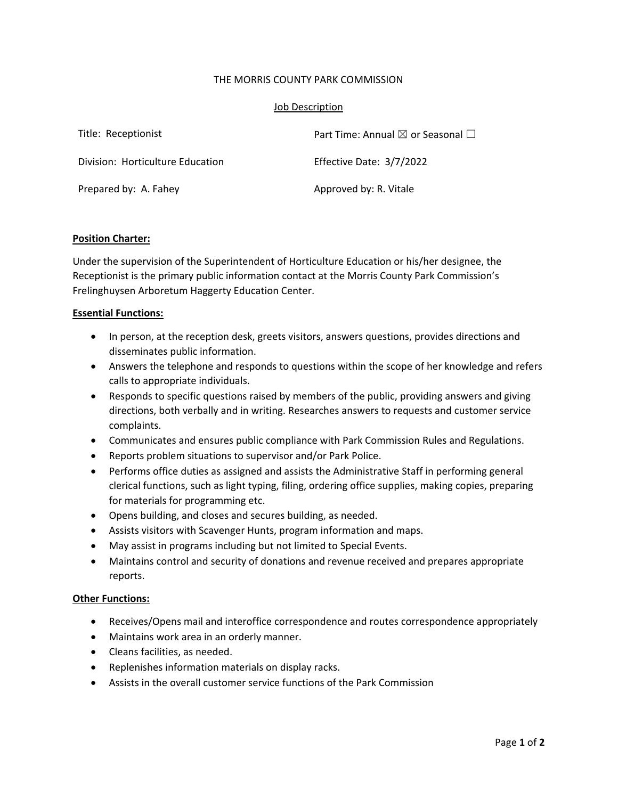## THE MORRIS COUNTY PARK COMMISSION

## Job Description

| Title: Receptionist              | Part Time: Annual $\boxtimes$ or Seasonal $\Box$ |
|----------------------------------|--------------------------------------------------|
| Division: Horticulture Education | Effective Date: 3/7/2022                         |
| Prepared by: A. Fahey            | Approved by: R. Vitale                           |

## **Position Charter:**

Under the supervision of the Superintendent of Horticulture Education or his/her designee, the Receptionist is the primary public information contact at the Morris County Park Commission's Frelinghuysen Arboretum Haggerty Education Center.

# **Essential Functions:**

- In person, at the reception desk, greets visitors, answers questions, provides directions and disseminates public information.
- Answers the telephone and responds to questions within the scope of her knowledge and refers calls to appropriate individuals.
- Responds to specific questions raised by members of the public, providing answers and giving directions, both verbally and in writing. Researches answers to requests and customer service complaints.
- Communicates and ensures public compliance with Park Commission Rules and Regulations.
- Reports problem situations to supervisor and/or Park Police.
- Performs office duties as assigned and assists the Administrative Staff in performing general clerical functions, such as light typing, filing, ordering office supplies, making copies, preparing for materials for programming etc.
- Opens building, and closes and secures building, as needed.
- Assists visitors with Scavenger Hunts, program information and maps.
- May assist in programs including but not limited to Special Events.
- Maintains control and security of donations and revenue received and prepares appropriate reports.

## **Other Functions:**

- Receives/Opens mail and interoffice correspondence and routes correspondence appropriately
- Maintains work area in an orderly manner.
- Cleans facilities, as needed.
- Replenishes information materials on display racks.
- Assists in the overall customer service functions of the Park Commission